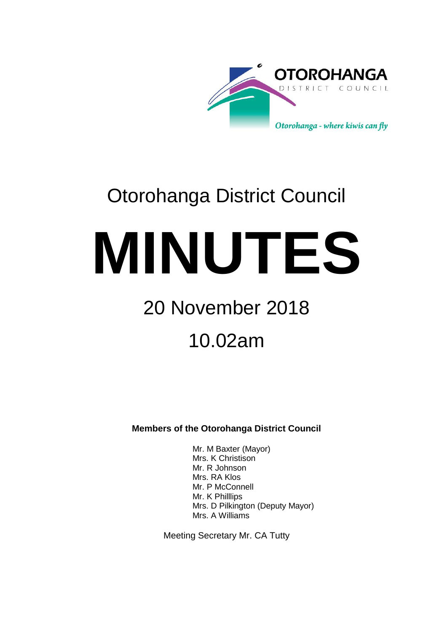

# Otorohanga District Council

**MINUTES**

# 20 November 2018

# 10.02am

**Members of the Otorohanga District Council**

Mr. M Baxter (Mayor) Mrs. K Christison Mr. R Johnson Mrs. RA Klos Mr. P McConnell Mr. K Philllips Mrs. D Pilkington (Deputy Mayor) Mrs. A Williams

Meeting Secretary Mr. CA Tutty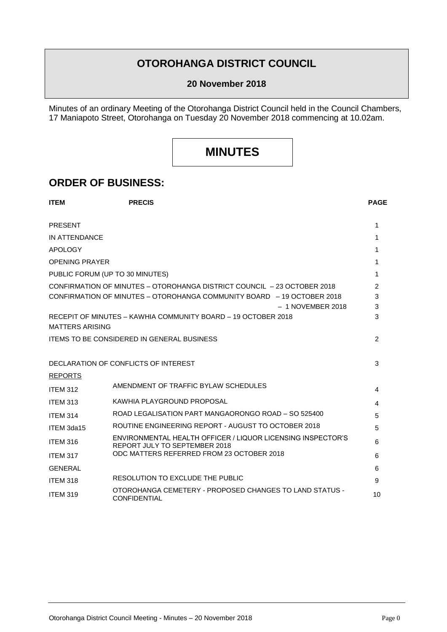## **OTOROHANGA DISTRICT COUNCIL**

#### **20 November 2018**

Minutes of an ordinary Meeting of the Otorohanga District Council held in the Council Chambers, 17 Maniapoto Street, Otorohanga on Tuesday 20 November 2018 commencing at 10.02am.

## **MINUTES**

### **ORDER OF BUSINESS:**

| <b>ITEM</b>                     | <b>PRECIS</b>                                                                                | <b>PAGE</b> |
|---------------------------------|----------------------------------------------------------------------------------------------|-------------|
| <b>PRESENT</b>                  |                                                                                              | 1           |
| IN ATTENDANCE                   |                                                                                              |             |
|                                 |                                                                                              | 1           |
| <b>APOLOGY</b>                  |                                                                                              | 1           |
| <b>OPENING PRAYER</b>           |                                                                                              | 1           |
| PUBLIC FORUM (UP TO 30 MINUTES) |                                                                                              | 1           |
|                                 | CONFIRMATION OF MINUTES - OTOROHANGA DISTRICT COUNCIL - 23 OCTOBER 2018                      | 2           |
|                                 | CONFIRMATION OF MINUTES - OTOROHANGA COMMUNITY BOARD - 19 OCTOBER 2018                       | 3           |
|                                 | $-1$ NOVEMBER 2018<br>RECEPIT OF MINUTES – KAWHIA COMMUNITY BOARD – 19 OCTOBER 2018          | 3<br>3      |
| <b>MATTERS ARISING</b>          |                                                                                              |             |
|                                 | <b>ITEMS TO BE CONSIDERED IN GENERAL BUSINESS</b>                                            | 2           |
|                                 | DECLARATION OF CONFLICTS OF INTEREST                                                         | 3           |
|                                 |                                                                                              |             |
| <b>REPORTS</b>                  | AMENDMENT OF TRAFFIC BYLAW SCHEDULES                                                         |             |
| <b>ITEM 312</b>                 |                                                                                              | 4           |
| <b>ITEM 313</b>                 | KAWHIA PLAYGROUND PROPOSAL                                                                   | 4           |
| <b>ITEM 314</b>                 | ROAD LEGALISATION PART MANGAORONGO ROAD - SO 525400                                          | 5           |
| ITEM 3da15                      | ROUTINE ENGINEERING REPORT - AUGUST TO OCTOBER 2018                                          | 5           |
| <b>ITEM 316</b>                 | ENVIRONMENTAL HEALTH OFFICER / LIQUOR LICENSING INSPECTOR'S<br>REPORT JULY TO SEPTEMBER 2018 | 6           |
| ITEM 317                        | ODC MATTERS REFERRED FROM 23 OCTOBER 2018                                                    | 6           |
| <b>GENERAL</b>                  |                                                                                              | 6           |
| <b>ITEM 318</b>                 | RESOLUTION TO EXCLUDE THE PUBLIC                                                             | 9           |
| <b>ITEM 319</b>                 | OTOROHANGA CEMETERY - PROPOSED CHANGES TO LAND STATUS -<br><b>CONFIDENTIAL</b>               | 10          |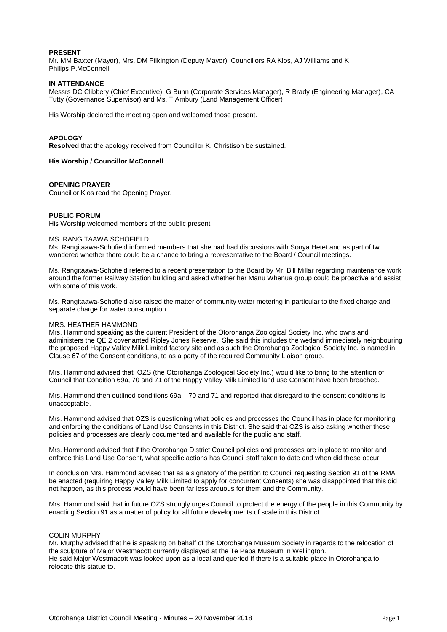#### **PRESENT**

Mr. MM Baxter (Mayor), Mrs. DM Pilkington (Deputy Mayor), Councillors RA Klos, AJ Williams and K Philips.P.McConnell

#### **IN ATTENDANCE**

Messrs DC Clibbery (Chief Executive), G Bunn (Corporate Services Manager), R Brady (Engineering Manager), CA Tutty (Governance Supervisor) and Ms. T Ambury (Land Management Officer)

His Worship declared the meeting open and welcomed those present.

#### **APOLOGY**

**Resolved** that the apology received from Councillor K. Christison be sustained.

#### **His Worship / Councillor McConnell**

#### **OPENING PRAYER**

Councillor Klos read the Opening Prayer.

#### **PUBLIC FORUM**

His Worship welcomed members of the public present.

#### MS. RANGITAAWA SCHOFIELD

Ms. Rangitaawa-Schofield informed members that she had had discussions with Sonya Hetet and as part of Iwi wondered whether there could be a chance to bring a representative to the Board / Council meetings.

Ms. Rangitaawa-Schofield referred to a recent presentation to the Board by Mr. Bill Millar regarding maintenance work around the former Railway Station building and asked whether her Manu Whenua group could be proactive and assist with some of this work.

Ms. Rangitaawa-Schofield also raised the matter of community water metering in particular to the fixed charge and separate charge for water consumption.

#### MRS. HEATHER HAMMOND

Mrs. Hammond speaking as the current President of the Otorohanga Zoological Society Inc. who owns and administers the QE 2 covenanted Ripley Jones Reserve. She said this includes the wetland immediately neighbouring the proposed Happy Valley Milk Limited factory site and as such the Otorohanga Zoological Society Inc. is named in Clause 67 of the Consent conditions, to as a party of the required Community Liaison group.

Mrs. Hammond advised that OZS (the Otorohanga Zoological Society Inc.) would like to bring to the attention of Council that Condition 69a, 70 and 71 of the Happy Valley Milk Limited land use Consent have been breached.

Mrs. Hammond then outlined conditions 69a – 70 and 71 and reported that disregard to the consent conditions is unacceptable.

Mrs. Hammond advised that OZS is questioning what policies and processes the Council has in place for monitoring and enforcing the conditions of Land Use Consents in this District. She said that OZS is also asking whether these policies and processes are clearly documented and available for the public and staff.

Mrs. Hammond advised that if the Otorohanga District Council policies and processes are in place to monitor and enforce this Land Use Consent, what specific actions has Council staff taken to date and when did these occur.

In conclusion Mrs. Hammond advised that as a signatory of the petition to Council requesting Section 91 of the RMA be enacted (requiring Happy Valley Milk Limited to apply for concurrent Consents) she was disappointed that this did not happen, as this process would have been far less arduous for them and the Community.

Mrs. Hammond said that in future OZS strongly urges Council to protect the energy of the people in this Community by enacting Section 91 as a matter of policy for all future developments of scale in this District.

#### COLIN MURPHY

Mr. Murphy advised that he is speaking on behalf of the Otorohanga Museum Society in regards to the relocation of the sculpture of Major Westmacott currently displayed at the Te Papa Museum in Wellington. He said Major Westmacott was looked upon as a local and queried if there is a suitable place in Otorohanga to relocate this statue to.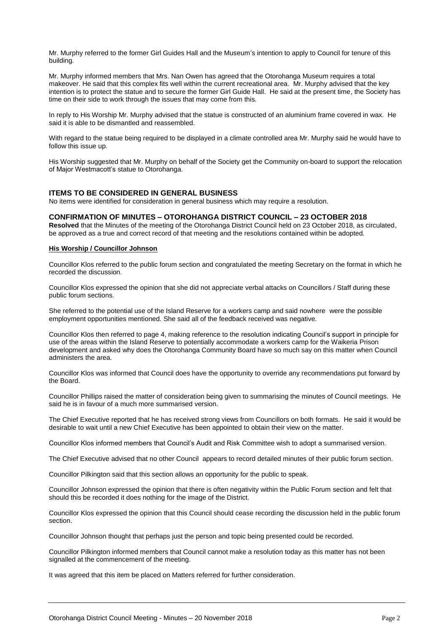Mr. Murphy referred to the former Girl Guides Hall and the Museum's intention to apply to Council for tenure of this building.

Mr. Murphy informed members that Mrs. Nan Owen has agreed that the Otorohanga Museum requires a total makeover. He said that this complex fits well within the current recreational area. Mr. Murphy advised that the key intention is to protect the statue and to secure the former Girl Guide Hall. He said at the present time, the Society has time on their side to work through the issues that may come from this.

In reply to His Worship Mr. Murphy advised that the statue is constructed of an aluminium frame covered in wax. He said it is able to be dismantled and reassembled.

With regard to the statue being required to be displayed in a climate controlled area Mr. Murphy said he would have to follow this issue up.

His Worship suggested that Mr. Murphy on behalf of the Society get the Community on-board to support the relocation of Major Westmacott's statue to Otorohanga.

#### **ITEMS TO BE CONSIDERED IN GENERAL BUSINESS**

No items were identified for consideration in general business which may require a resolution.

#### **CONFIRMATION OF MINUTES – OTOROHANGA DISTRICT COUNCIL – 23 OCTOBER 2018**

**Resolved** that the Minutes of the meeting of the Otorohanga District Council held on 23 October 2018, as circulated, be approved as a true and correct record of that meeting and the resolutions contained within be adopted.

#### **His Worship / Councillor Johnson**

Councillor Klos referred to the public forum section and congratulated the meeting Secretary on the format in which he recorded the discussion.

Councillor Klos expressed the opinion that she did not appreciate verbal attacks on Councillors / Staff during these public forum sections.

She referred to the potential use of the Island Reserve for a workers camp and said nowhere were the possible employment opportunities mentioned. She said all of the feedback received was negative.

Councillor Klos then referred to page 4, making reference to the resolution indicating Council's support in principle for use of the areas within the Island Reserve to potentially accommodate a workers camp for the Waikeria Prison development and asked why does the Otorohanga Community Board have so much say on this matter when Council administers the area.

Councillor Klos was informed that Council does have the opportunity to override any recommendations put forward by the Board.

Councillor Phillips raised the matter of consideration being given to summarising the minutes of Council meetings. He said he is in favour of a much more summarised version.

The Chief Executive reported that he has received strong views from Councillors on both formats. He said it would be desirable to wait until a new Chief Executive has been appointed to obtain their view on the matter.

Councillor Klos informed members that Council's Audit and Risk Committee wish to adopt a summarised version.

The Chief Executive advised that no other Council appears to record detailed minutes of their public forum section.

Councillor Pilkington said that this section allows an opportunity for the public to speak.

Councillor Johnson expressed the opinion that there is often negativity within the Public Forum section and felt that should this be recorded it does nothing for the image of the District.

Councillor Klos expressed the opinion that this Council should cease recording the discussion held in the public forum section.

Councillor Johnson thought that perhaps just the person and topic being presented could be recorded.

Councillor Pilkington informed members that Council cannot make a resolution today as this matter has not been signalled at the commencement of the meeting.

It was agreed that this item be placed on Matters referred for further consideration.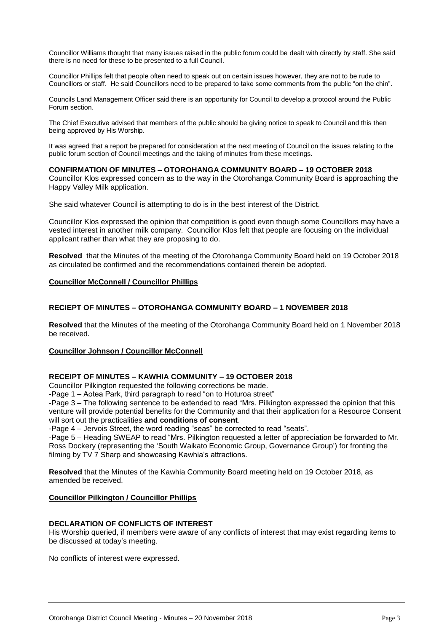Councillor Williams thought that many issues raised in the public forum could be dealt with directly by staff. She said there is no need for these to be presented to a full Council.

Councillor Phillips felt that people often need to speak out on certain issues however, they are not to be rude to Councillors or staff. He said Councillors need to be prepared to take some comments from the public "on the chin".

Councils Land Management Officer said there is an opportunity for Council to develop a protocol around the Public Forum section.

The Chief Executive advised that members of the public should be giving notice to speak to Council and this then being approved by His Worship.

It was agreed that a report be prepared for consideration at the next meeting of Council on the issues relating to the public forum section of Council meetings and the taking of minutes from these meetings.

#### **CONFIRMATION OF MINUTES – OTOROHANGA COMMUNITY BOARD – 19 OCTOBER 2018**

Councillor Klos expressed concern as to the way in the Otorohanga Community Board is approaching the Happy Valley Milk application.

She said whatever Council is attempting to do is in the best interest of the District.

Councillor Klos expressed the opinion that competition is good even though some Councillors may have a vested interest in another milk company. Councillor Klos felt that people are focusing on the individual applicant rather than what they are proposing to do.

**Resolved** that the Minutes of the meeting of the Otorohanga Community Board held on 19 October 2018 as circulated be confirmed and the recommendations contained therein be adopted.

#### **Councillor McConnell / Councillor Phillips**

#### **RECIEPT OF MINUTES – OTOROHANGA COMMUNITY BOARD – 1 NOVEMBER 2018**

**Resolved** that the Minutes of the meeting of the Otorohanga Community Board held on 1 November 2018 be received.

#### **Councillor Johnson / Councillor McConnell**

#### **RECEIPT OF MINUTES – KAWHIA COMMUNITY – 19 OCTOBER 2018**

Councillor Pilkington requested the following corrections be made.

-Page 1 – Aotea Park, third paragraph to read "on to Hoturoa street"

-Page 3 – The following sentence to be extended to read "Mrs. Pilkington expressed the opinion that this venture will provide potential benefits for the Community and that their application for a Resource Consent will sort out the practicalities **and conditions of consent**.

-Page 4 – Jervois Street, the word reading "seas" be corrected to read "seats".

-Page 5 – Heading SWEAP to read "Mrs. Pilkington requested a letter of appreciation be forwarded to Mr. Ross Dockery (representing the 'South Waikato Economic Group, Governance Group') for fronting the filming by TV 7 Sharp and showcasing Kawhia's attractions.

**Resolved** that the Minutes of the Kawhia Community Board meeting held on 19 October 2018, as amended be received.

#### **Councillor Pilkington / Councillor Phillips**

#### **DECLARATION OF CONFLICTS OF INTEREST**

His Worship queried, if members were aware of any conflicts of interest that may exist regarding items to be discussed at today's meeting.

No conflicts of interest were expressed.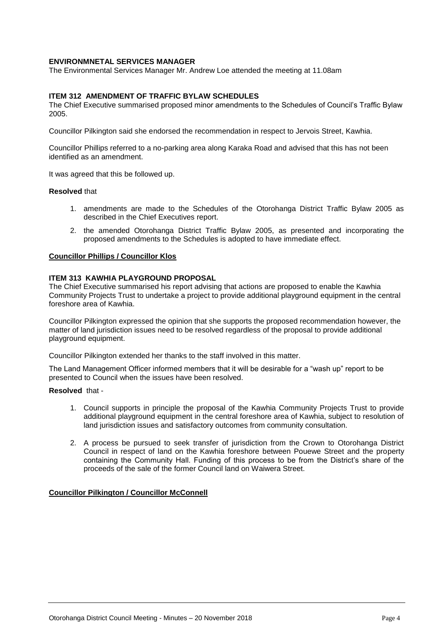#### **ENVIRONMNETAL SERVICES MANAGER**

The Environmental Services Manager Mr. Andrew Loe attended the meeting at 11.08am

#### **ITEM 312 AMENDMENT OF TRAFFIC BYLAW SCHEDULES**

The Chief Executive summarised proposed minor amendments to the Schedules of Council's Traffic Bylaw 2005.

Councillor Pilkington said she endorsed the recommendation in respect to Jervois Street, Kawhia.

Councillor Phillips referred to a no-parking area along Karaka Road and advised that this has not been identified as an amendment.

It was agreed that this be followed up.

#### **Resolved** that

- 1. amendments are made to the Schedules of the Otorohanga District Traffic Bylaw 2005 as described in the Chief Executives report.
- 2. the amended Otorohanga District Traffic Bylaw 2005, as presented and incorporating the proposed amendments to the Schedules is adopted to have immediate effect.

#### **Councillor Phillips / Councillor Klos**

#### **ITEM 313 KAWHIA PLAYGROUND PROPOSAL**

The Chief Executive summarised his report advising that actions are proposed to enable the Kawhia Community Projects Trust to undertake a project to provide additional playground equipment in the central foreshore area of Kawhia.

Councillor Pilkington expressed the opinion that she supports the proposed recommendation however, the matter of land jurisdiction issues need to be resolved regardless of the proposal to provide additional playground equipment.

Councillor Pilkington extended her thanks to the staff involved in this matter.

The Land Management Officer informed members that it will be desirable for a "wash up" report to be presented to Council when the issues have been resolved.

#### **Resolved** that -

- 1. Council supports in principle the proposal of the Kawhia Community Projects Trust to provide additional playground equipment in the central foreshore area of Kawhia, subject to resolution of land jurisdiction issues and satisfactory outcomes from community consultation.
- 2. A process be pursued to seek transfer of jurisdiction from the Crown to Otorohanga District Council in respect of land on the Kawhia foreshore between Pouewe Street and the property containing the Community Hall. Funding of this process to be from the District's share of the proceeds of the sale of the former Council land on Waiwera Street.

#### **Councillor Pilkington / Councillor McConnell**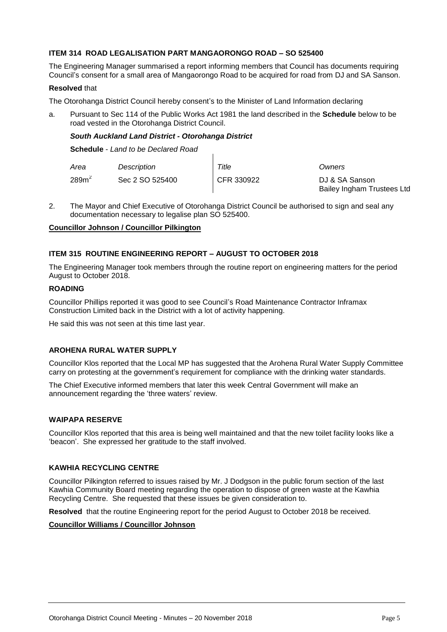#### **ITEM 314 ROAD LEGALISATION PART MANGAORONGO ROAD – SO 525400**

The Engineering Manager summarised a report informing members that Council has documents requiring Council's consent for a small area of Mangaorongo Road to be acquired for road from DJ and SA Sanson.

#### **Resolved** that

The Otorohanga District Council hereby consent's to the Minister of Land Information declaring

a. Pursuant to Sec 114 of the Public Works Act 1981 the land described in the **Schedule** below to be road vested in the Otorohanga District Council.

#### *South Auckland Land District - Otorohanga District*

**Schedule** - *Land to be Declared Road*

| Area              | Description     | Title      | Owners                                       |
|-------------------|-----------------|------------|----------------------------------------------|
| 289m <sup>2</sup> | Sec 2 SO 525400 | CFR 330922 | DJ & SA Sanson<br>Bailey Ingham Trustees Ltd |

2. The Mayor and Chief Executive of Otorohanga District Council be authorised to sign and seal any documentation necessary to legalise plan SO 525400.

#### **Councillor Johnson / Councillor Pilkington**

#### **ITEM 315 ROUTINE ENGINEERING REPORT – AUGUST TO OCTOBER 2018**

The Engineering Manager took members through the routine report on engineering matters for the period August to October 2018.

#### **ROADING**

Councillor Phillips reported it was good to see Council's Road Maintenance Contractor Inframax Construction Limited back in the District with a lot of activity happening.

He said this was not seen at this time last year.

#### **AROHENA RURAL WATER SUPPLY**

Councillor Klos reported that the Local MP has suggested that the Arohena Rural Water Supply Committee carry on protesting at the government's requirement for compliance with the drinking water standards.

The Chief Executive informed members that later this week Central Government will make an announcement regarding the 'three waters' review.

#### **WAIPAPA RESERVE**

Councillor Klos reported that this area is being well maintained and that the new toilet facility looks like a 'beacon'. She expressed her gratitude to the staff involved.

#### **KAWHIA RECYCLING CENTRE**

Councillor Pilkington referred to issues raised by Mr. J Dodgson in the public forum section of the last Kawhia Community Board meeting regarding the operation to dispose of green waste at the Kawhia Recycling Centre. She requested that these issues be given consideration to.

**Resolved** that the routine Engineering report for the period August to October 2018 be received.

#### **Councillor Williams / Councillor Johnson**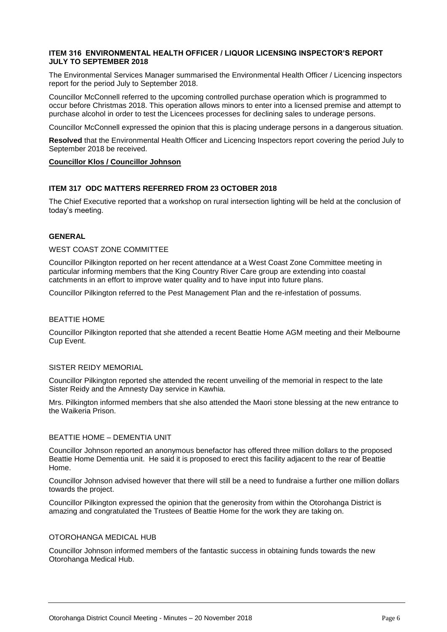#### **ITEM 316 ENVIRONMENTAL HEALTH OFFICER / LIQUOR LICENSING INSPECTOR'S REPORT JULY TO SEPTEMBER 2018**

The Environmental Services Manager summarised the Environmental Health Officer / Licencing inspectors report for the period July to September 2018.

Councillor McConnell referred to the upcoming controlled purchase operation which is programmed to occur before Christmas 2018. This operation allows minors to enter into a licensed premise and attempt to purchase alcohol in order to test the Licencees processes for declining sales to underage persons.

Councillor McConnell expressed the opinion that this is placing underage persons in a dangerous situation.

**Resolved** that the Environmental Health Officer and Licencing Inspectors report covering the period July to September 2018 be received.

#### **Councillor Klos / Councillor Johnson**

#### **ITEM 317 ODC MATTERS REFERRED FROM 23 OCTOBER 2018**

The Chief Executive reported that a workshop on rural intersection lighting will be held at the conclusion of today's meeting.

#### **GENERAL**

#### WEST COAST ZONE COMMITTEE

Councillor Pilkington reported on her recent attendance at a West Coast Zone Committee meeting in particular informing members that the King Country River Care group are extending into coastal catchments in an effort to improve water quality and to have input into future plans.

Councillor Pilkington referred to the Pest Management Plan and the re-infestation of possums.

#### BEATTIE HOME

Councillor Pilkington reported that she attended a recent Beattie Home AGM meeting and their Melbourne Cup Event.

#### SISTER REIDY MEMORIAL

Councillor Pilkington reported she attended the recent unveiling of the memorial in respect to the late Sister Reidy and the Amnesty Day service in Kawhia.

Mrs. Pilkington informed members that she also attended the Maori stone blessing at the new entrance to the Waikeria Prison.

#### BEATTIE HOME – DEMENTIA UNIT

Councillor Johnson reported an anonymous benefactor has offered three million dollars to the proposed Beattie Home Dementia unit. He said it is proposed to erect this facility adjacent to the rear of Beattie Home.

Councillor Johnson advised however that there will still be a need to fundraise a further one million dollars towards the project.

Councillor Pilkington expressed the opinion that the generosity from within the Otorohanga District is amazing and congratulated the Trustees of Beattie Home for the work they are taking on.

#### OTOROHANGA MEDICAL HUB

Councillor Johnson informed members of the fantastic success in obtaining funds towards the new Otorohanga Medical Hub.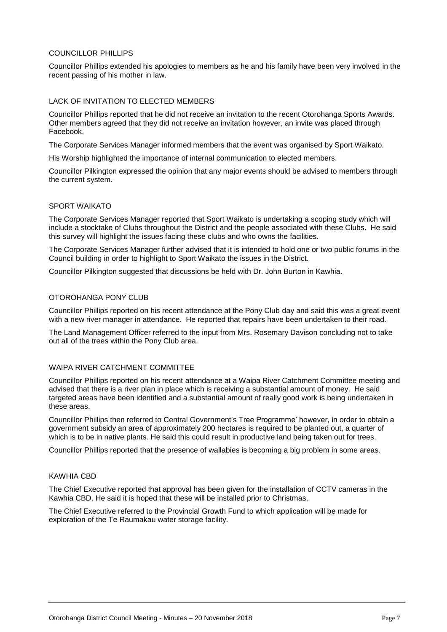#### COUNCILLOR PHILLIPS

Councillor Phillips extended his apologies to members as he and his family have been very involved in the recent passing of his mother in law.

#### LACK OF INVITATION TO ELECTED MEMBERS

Councillor Phillips reported that he did not receive an invitation to the recent Otorohanga Sports Awards. Other members agreed that they did not receive an invitation however, an invite was placed through Facebook.

The Corporate Services Manager informed members that the event was organised by Sport Waikato.

His Worship highlighted the importance of internal communication to elected members.

Councillor Pilkington expressed the opinion that any major events should be advised to members through the current system.

#### SPORT WAIKATO

The Corporate Services Manager reported that Sport Waikato is undertaking a scoping study which will include a stocktake of Clubs throughout the District and the people associated with these Clubs. He said this survey will highlight the issues facing these clubs and who owns the facilities.

The Corporate Services Manager further advised that it is intended to hold one or two public forums in the Council building in order to highlight to Sport Waikato the issues in the District.

Councillor Pilkington suggested that discussions be held with Dr. John Burton in Kawhia.

#### OTOROHANGA PONY CLUB

Councillor Phillips reported on his recent attendance at the Pony Club day and said this was a great event with a new river manager in attendance. He reported that repairs have been undertaken to their road.

The Land Management Officer referred to the input from Mrs. Rosemary Davison concluding not to take out all of the trees within the Pony Club area.

#### WAIPA RIVER CATCHMENT COMMITTEE

Councillor Phillips reported on his recent attendance at a Waipa River Catchment Committee meeting and advised that there is a river plan in place which is receiving a substantial amount of money. He said targeted areas have been identified and a substantial amount of really good work is being undertaken in these areas.

Councillor Phillips then referred to Central Government's Tree Programme' however, in order to obtain a government subsidy an area of approximately 200 hectares is required to be planted out, a quarter of which is to be in native plants. He said this could result in productive land being taken out for trees.

Councillor Phillips reported that the presence of wallabies is becoming a big problem in some areas.

#### KAWHIA CBD

The Chief Executive reported that approval has been given for the installation of CCTV cameras in the Kawhia CBD. He said it is hoped that these will be installed prior to Christmas.

The Chief Executive referred to the Provincial Growth Fund to which application will be made for exploration of the Te Raumakau water storage facility.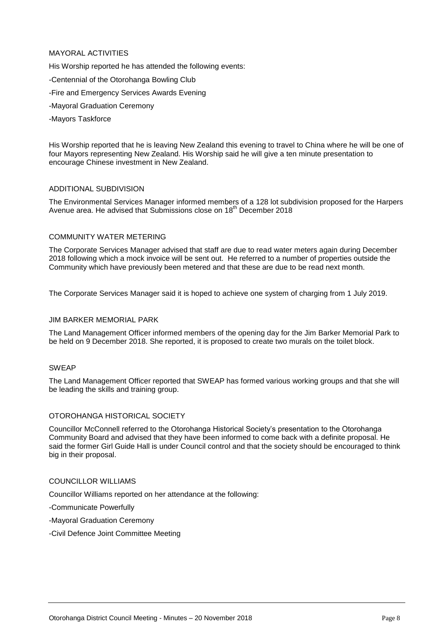#### MAYORAL ACTIVITIES

His Worship reported he has attended the following events:

- -Centennial of the Otorohanga Bowling Club
- -Fire and Emergency Services Awards Evening
- -Mayoral Graduation Ceremony
- -Mayors Taskforce

His Worship reported that he is leaving New Zealand this evening to travel to China where he will be one of four Mayors representing New Zealand. His Worship said he will give a ten minute presentation to encourage Chinese investment in New Zealand.

#### ADDITIONAL SUBDIVISION

The Environmental Services Manager informed members of a 128 lot subdivision proposed for the Harpers Avenue area. He advised that Submissions close on 18<sup>th</sup> December 2018

#### COMMUNITY WATER METERING

The Corporate Services Manager advised that staff are due to read water meters again during December 2018 following which a mock invoice will be sent out. He referred to a number of properties outside the Community which have previously been metered and that these are due to be read next month.

The Corporate Services Manager said it is hoped to achieve one system of charging from 1 July 2019.

#### JIM BARKER MEMORIAL PARK

The Land Management Officer informed members of the opening day for the Jim Barker Memorial Park to be held on 9 December 2018. She reported, it is proposed to create two murals on the toilet block.

#### SWEAP

The Land Management Officer reported that SWEAP has formed various working groups and that she will be leading the skills and training group.

#### OTOROHANGA HISTORICAL SOCIETY

Councillor McConnell referred to the Otorohanga Historical Society's presentation to the Otorohanga Community Board and advised that they have been informed to come back with a definite proposal. He said the former Girl Guide Hall is under Council control and that the society should be encouraged to think big in their proposal.

#### COUNCILLOR WILLIAMS

Councillor Williams reported on her attendance at the following:

-Communicate Powerfully

- -Mayoral Graduation Ceremony
- -Civil Defence Joint Committee Meeting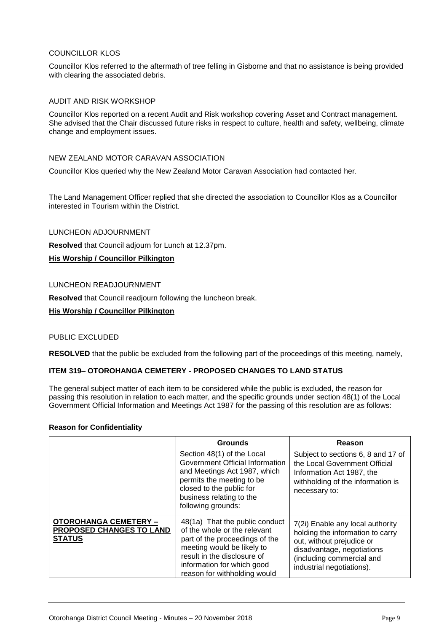#### COUNCILLOR KLOS

Councillor Klos referred to the aftermath of tree felling in Gisborne and that no assistance is being provided with clearing the associated debris.

#### AUDIT AND RISK WORKSHOP

Councillor Klos reported on a recent Audit and Risk workshop covering Asset and Contract management. She advised that the Chair discussed future risks in respect to culture, health and safety, wellbeing, climate change and employment issues.

#### NEW ZEALAND MOTOR CARAVAN ASSOCIATION

Councillor Klos queried why the New Zealand Motor Caravan Association had contacted her.

The Land Management Officer replied that she directed the association to Councillor Klos as a Councillor interested in Tourism within the District.

#### LUNCHEON ADJOURNMENT

**Resolved** that Council adjourn for Lunch at 12.37pm.

#### **His Worship / Councillor Pilkington**

#### LUNCHEON READJOURNMENT

**Resolved** that Council readjourn following the luncheon break.

#### **His Worship / Councillor Pilkington**

#### PUBLIC EXCLUDED

**RESOLVED** that the public be excluded from the following part of the proceedings of this meeting, namely,

#### **ITEM 319– OTOROHANGA CEMETERY - PROPOSED CHANGES TO LAND STATUS**

The general subject matter of each item to be considered while the public is excluded, the reason for passing this resolution in relation to each matter, and the specific grounds under section 48(1) of the Local Government Official Information and Meetings Act 1987 for the passing of this resolution are as follows:

#### **Reason for Confidentiality**

|                                                                                  | <b>Grounds</b>                                                                                                                                                                                                              | Reason                                                                                                                                                                                    |
|----------------------------------------------------------------------------------|-----------------------------------------------------------------------------------------------------------------------------------------------------------------------------------------------------------------------------|-------------------------------------------------------------------------------------------------------------------------------------------------------------------------------------------|
|                                                                                  | Section 48(1) of the Local<br>Government Official Information<br>and Meetings Act 1987, which<br>permits the meeting to be<br>closed to the public for<br>business relating to the<br>following grounds:                    | Subject to sections 6, 8 and 17 of<br>the Local Government Official<br>Information Act 1987, the<br>withholding of the information is<br>necessary to:                                    |
| <b>OTOROHANGA CEMETERY -</b><br><b>PROPOSED CHANGES TO LAND</b><br><b>STATUS</b> | 48(1a) That the public conduct<br>of the whole or the relevant<br>part of the proceedings of the<br>meeting would be likely to<br>result in the disclosure of<br>information for which good<br>reason for withholding would | 7(2i) Enable any local authority<br>holding the information to carry<br>out, without prejudice or<br>disadvantage, negotiations<br>(including commercial and<br>industrial negotiations). |